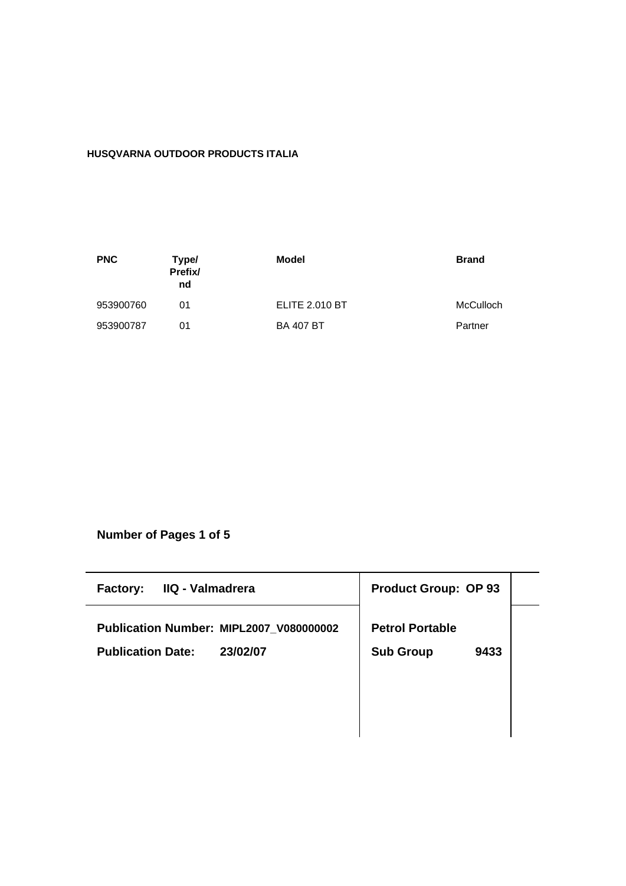# **HUSQVARNA OUTDOOR PRODUCTS ITALIA**

| <b>PNC</b> | Type/<br>Prefix/<br>nd | Model                 | <b>Brand</b> |
|------------|------------------------|-----------------------|--------------|
| 953900760  | 01                     | <b>ELITE 2.010 BT</b> | McCulloch    |
| 953900787  | 01                     | <b>BA 407 BT</b>      | Partner      |

**Number of Pages 1 of 5**

| IIQ - Valmadrera<br><b>Factory:</b>     | <b>Product Group: OP 93</b> |
|-----------------------------------------|-----------------------------|
| Publication Number: MIPL2007 V080000002 | <b>Petrol Portable</b>      |
| <b>Publication Date:</b><br>23/02/07    | <b>Sub Group</b><br>9433    |
|                                         |                             |
|                                         |                             |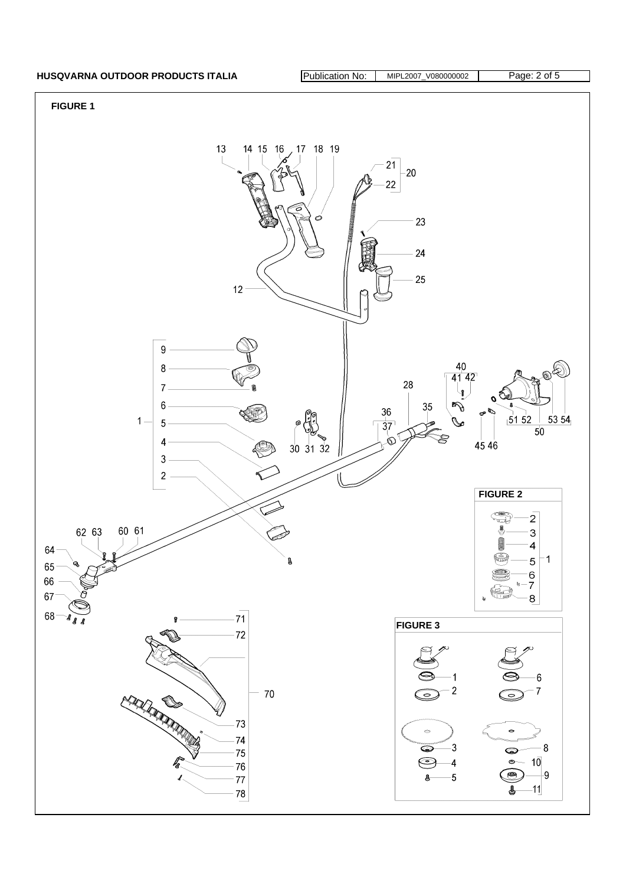## **HUSQVARNA OUTDOOR PRODUCTS ITALIA** Publication No: MIPL2007\_V080000002 Page: 2 of 5

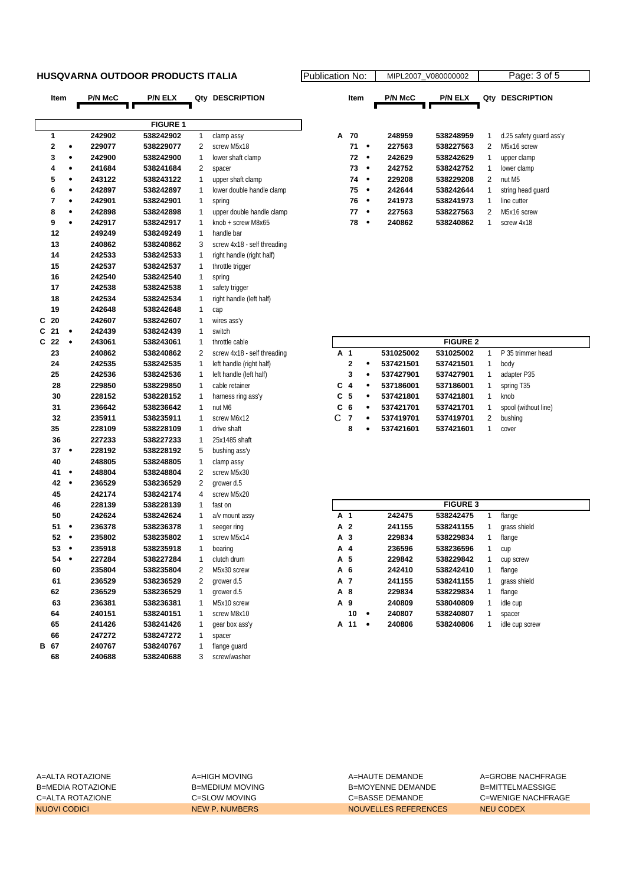### **HUSQVARNA OUTDOOR PRODUCTS ITALIA Publication No: Propriet No: Algorithment**

|   | Item           |           | <b>P/N McC</b> | P/N ELX         | Qty | <b>DESCRIPTION</b>          |   | Item                    |           | <b>P/N McC</b> | P/N ELX         |              | Qty DESCRIPTION         |
|---|----------------|-----------|----------------|-----------------|-----|-----------------------------|---|-------------------------|-----------|----------------|-----------------|--------------|-------------------------|
|   |                |           |                |                 |     |                             |   |                         |           |                |                 |              |                         |
|   |                |           |                | <b>FIGURE 1</b> |     |                             |   |                         |           |                |                 |              |                         |
|   | 1              |           | 242902         | 538242902       | 1   | clamp assy                  | А | 70                      |           | 248959         | 538248959       | 1            | d.25 safety guard ass'y |
|   | $\mathbf 2$    | ٠         | 229077         | 538229077       | 2   | screw M5x18                 |   | 71                      | $\bullet$ | 227563         | 538227563       | 2            | M5x16 screw             |
|   | 3              | $\bullet$ | 242900         | 538242900       | 1   | lower shaft clamp           |   | 72                      | $\bullet$ | 242629         | 538242629       | 1            | upper clamp             |
|   | 4              | ٠         | 241684         | 538241684       | 2   | spacer                      |   | 73                      | $\bullet$ | 242752         | 538242752       | 1            | lower clamp             |
|   | 5              | $\bullet$ | 243122         | 538243122       | 1   | upper shaft clamp           |   | 74                      | $\bullet$ | 229208         | 538229208       | 2            | nut M5                  |
|   | 6              | $\bullet$ | 242897         | 538242897       | 1   | lower double handle clamp   |   | 75                      | $\bullet$ | 242644         | 538242644       | 1            | string head guard       |
|   | $\overline{7}$ | $\bullet$ | 242901         | 538242901       | 1   | spring                      |   | 76                      | $\bullet$ | 241973         | 538241973       | 1            | line cutter             |
|   | 8              | ٠         | 242898         | 538242898       | 1   | upper double handle clamp   |   | 77                      | $\bullet$ | 227563         | 538227563       | 2            | M5x16 screw             |
|   | 9              | $\bullet$ | 242917         | 538242917       | 1   | knob + screw M8x65          |   | 78                      | $\bullet$ | 240862         | 538240862       | $\mathbf{1}$ | screw 4x18              |
|   | 12             |           | 249249         | 538249249       | 1   | handle bar                  |   |                         |           |                |                 |              |                         |
|   | 13             |           | 240862         | 538240862       | 3   | screw 4x18 - self threading |   |                         |           |                |                 |              |                         |
|   | 14             |           | 242533         | 538242533       | 1   | right handle (right half)   |   |                         |           |                |                 |              |                         |
|   | 15             |           | 242537         | 538242537       | 1   | throttle trigger            |   |                         |           |                |                 |              |                         |
|   | 16             |           | 242540         | 538242540       | 1   | spring                      |   |                         |           |                |                 |              |                         |
|   | 17             |           | 242538         | 538242538       | 1   | safety trigger              |   |                         |           |                |                 |              |                         |
|   | 18             |           | 242534         | 538242534       | 1   | right handle (left half)    |   |                         |           |                |                 |              |                         |
|   | 19             |           | 242648         | 538242648       | 1   | cap                         |   |                         |           |                |                 |              |                         |
| C | 20             |           | 242607         | 538242607       | 1   | wires ass'y                 |   |                         |           |                |                 |              |                         |
| C | 21             | ٠         | 242439         | 538242439       | 1   | switch                      |   |                         |           |                |                 |              |                         |
| C | 22             | $\bullet$ | 243061         | 538243061       | 1   | throttle cable              |   |                         |           |                | <b>FIGURE 2</b> |              |                         |
|   | 23             |           | 240862         | 538240862       | 2   | screw 4x18 - self threading |   | A 1                     |           | 531025002      | 531025002       | $\mathbf{1}$ | P 35 trimmer head       |
|   | 24             |           | 242535         | 538242535       | 1   | left handle (right half)    |   | $\mathbf 2$             |           | 537421501      | 537421501       | 1            | body                    |
|   | 25             |           | 242536         | 538242536       | 1   | left handle (left half)     |   | 3                       | $\bullet$ | 537427901      | 537427901       | 1            | adapter P35             |
|   | 28             |           | 229850         | 538229850       | 1   | cable retainer              | С | $\overline{\mathbf{4}}$ | $\bullet$ | 537186001      | 537186001       | 1            | spring T35              |
|   | 30             |           | 228152         | 538228152       | 1   | harness ring ass'y          |   | C <sub>5</sub>          | $\bullet$ | 537421801      | 537421801       | 1            | knob                    |
|   | 31             |           | 236642         | 538236642       | 1   | nut M6                      | C | 6                       | $\bullet$ | 537421701      | 537421701       | 1            | spool (without line)    |
|   | 32             |           | 235911         | 538235911       | 1   | screw M6x12                 | C | $\overline{7}$          | ٠         | 537419701      | 537419701       | 2            | bushing                 |
|   | 35             |           | 228109         | 538228109       | 1   | drive shaft                 |   | 8                       | $\bullet$ | 537421601      | 537421601       | 1            | cover                   |
|   | 36             |           | 227233         | 538227233       | 1   | 25x1485 shaft               |   |                         |           |                |                 |              |                         |
|   | 37             | $\bullet$ | 228192         | 538228192       | 5   | bushing ass'y               |   |                         |           |                |                 |              |                         |
|   | 40             |           | 248805         | 538248805       | 1   | clamp assy                  |   |                         |           |                |                 |              |                         |
|   | 41             | $\bullet$ | 248804         | 538248804       | 2   | screw M5x30                 |   |                         |           |                |                 |              |                         |
|   | 42             | $\bullet$ | 236529         | 538236529       | 2   | grower d.5                  |   |                         |           |                |                 |              |                         |
|   | 45             |           | 242174         | 538242174       | 4   | screw M5x20                 |   |                         |           |                |                 |              |                         |
|   | 46             |           | 228139         | 538228139       | 1   | fast on                     |   |                         |           |                | <b>FIGURE 3</b> |              |                         |
|   | 50             |           | 242624         | 538242624       | 1   | a/v mount assy              |   | A 1                     |           | 242475         | 538242475       | 1            | flange                  |
|   | 51             | $\bullet$ | 236378         | 538236378       | 1   | seeger ring                 |   | A 2                     |           | 241155         | 538241155       | 1            | grass shield            |
|   | 52             | $\bullet$ | 235802         | 538235802       | 1   | screw M5x14                 |   | A 3                     |           | 229834         | 538229834       | 1            | flange                  |
|   | 53             | $\bullet$ | 235918         | 538235918       | 1   | bearing                     |   | A 4                     |           | 236596         | 538236596       | 1            | cup                     |
|   | 54             | ٠         | 227284         | 538227284       | 1   | clutch drum                 |   | A 5                     |           | 229842         | 538229842       | 1            | cup screw               |
|   | 60             |           | 235804         | 538235804       | 2   | M5x30 screw                 |   | A 6                     |           | 242410         | 538242410       | 1            | flange                  |
|   | 61             |           | 236529         | 538236529       | 2   | grower d.5                  |   | A 7                     |           | 241155         | 538241155       | 1            | grass shield            |
|   | 62             |           | 236529         | 538236529       | 1   | grower d.5                  |   | A 8                     |           | 229834         | 538229834       | 1            | flange                  |
|   | 63             |           | 236381         | 538236381       | 1   | M5x10 screw                 |   | A 9                     |           | 240809         | 538040809       | 1            | idle cup                |
|   | 64             |           | 240151         | 538240151       | 1   | screw M8x10                 |   | 10                      | ٠         | 240807         | 538240807       | 1            | spacer                  |
|   | 65             |           | 241426         | 538241426       | 1   | gear box ass'y              |   | A 11                    | ٠         | 240806         | 538240806       | 1            | idle cup screw          |
|   | 66             |           | 247272         | 538247272       | 1   | spacer                      |   |                         |           |                |                 |              |                         |
|   | B 67           |           | 240767         | 538240767       | 1   | flange guard                |   |                         |           |                |                 |              |                         |
|   | 68             |           | 240688         | 538240688       | 3   | screw/washer                |   |                         |           |                |                 |              |                         |

| ation No: |      |   |                | MIPL2007 V080000002 |     | Page: 3 of 5            |  |
|-----------|------|---|----------------|---------------------|-----|-------------------------|--|
|           | Item |   | <b>P/N McC</b> | <b>P/N ELX</b>      | Qtv | <b>DESCRIPTION</b>      |  |
|           |      |   |                |                     |     |                         |  |
| А         | 70   |   | 248959         | 538248959           | 1   | d.25 safety guard ass'y |  |
|           | 71   |   | 227563         | 538227563           | 2   | M5x16 screw             |  |
|           | 72   | ٠ | 242629         | 538242629           | 1   | upper clamp             |  |
|           | 73   | ٠ | 242752         | 538242752           | 1   | lower clamp             |  |
|           | 74   |   | 229208         | 538229208           | 2   | nut M <sub>5</sub>      |  |
|           | 75   | ٠ | 242644         | 538242644           | 1   | string head quard       |  |
|           | 76   |   | 241973         | 538241973           | 1   | line cutter             |  |
|           | 77   |   | 227563         | 538227563           | 2   | M5x16 screw             |  |
|           | 78   |   | 240862         | 538240862           | 1   | screw 4x18              |  |
|           |      |   |                |                     |     |                         |  |

|                |              |   |           | <b>FIGURE 2</b> |   |                      |
|----------------|--------------|---|-----------|-----------------|---|----------------------|
| A 1            |              |   | 531025002 | 531025002       |   | P 35 trimmer head    |
|                | $\mathbf{2}$ | ٠ | 537421501 | 537421501       | 1 | body                 |
|                | 3            | ٠ | 537427901 | 537427901       | 1 | adapter P35          |
| $C_4$          |              | ٠ | 537186001 | 537186001       | 1 | spring T35           |
| C 5            |              | ٠ | 537421801 | 537421801       | 1 | knob                 |
| C <sub>6</sub> |              | ٠ | 537421701 | 537421701       |   | spool (without line) |
| C              | 7            | ٠ | 537419701 | 537419701       | 2 | bushing              |
|                | 8            | ٠ | 537421601 | 537421601       |   | cover                |

|     |     |   |        | <b>FIGURE 3</b> |   |                |
|-----|-----|---|--------|-----------------|---|----------------|
| A 1 |     |   | 242475 | 538242475       | 1 | flange         |
|     | A 2 |   | 241155 | 538241155       | 1 | grass shield   |
|     | A 3 |   | 229834 | 538229834       | 1 | flange         |
|     | A 4 |   | 236596 | 538236596       | 1 | cup            |
|     | A 5 |   | 229842 | 538229842       | 1 | cup screw      |
|     | A 6 |   | 242410 | 538242410       | 1 | flange         |
|     | A 7 |   | 241155 | 538241155       | 1 | grass shield   |
|     | A 8 |   | 229834 | 538229834       | 1 | flange         |
|     | A 9 |   | 240809 | 538040809       | 1 | idle cup       |
|     | 10  | ٠ | 240807 | 538240807       | 1 | spacer         |
| А   | 11  | ٠ | 240806 | 538240806       | 1 | idle cup screw |

A=ALTA ROTAZIONE A=HIGH MOVING A=HAUTE DEMANDE A=GROBE NACHFRAGE B=MEDIA ROTAZIONE B=MEDIUM MOVING B=MOYENNE DEMANDE B=MITTELMAESSIGE C=ALTA ROTAZIONE C=SLOW MOVING C=BASSE DEMANDE C=WENIGE NACHFRAGE NUOVI CODICI NEW P. NUMBERS NOUVELLES REFERENCES NEU CODEX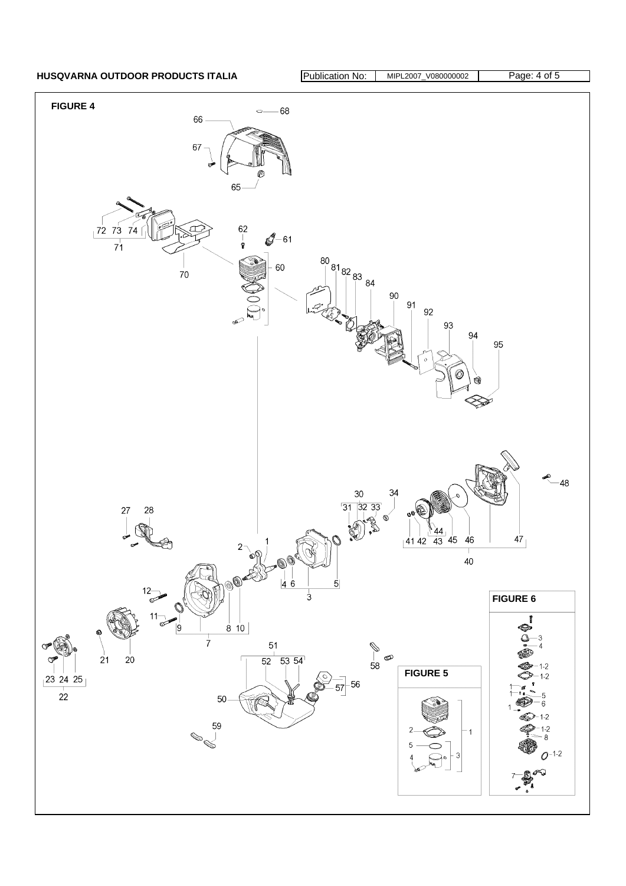HUSQVARNA OUTDOOR PRODUCTS ITALIA **Publication No: MIPL2007\_V080000002** Page: 4 of 5